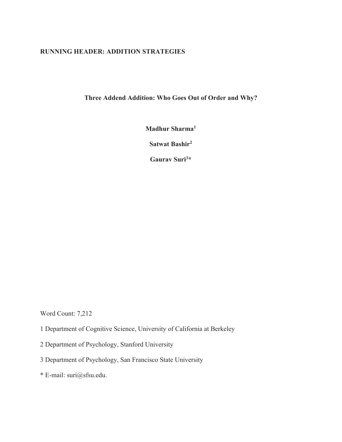# **RUNNING HEADER: ADDITION STRATEGIES**

**Three Addend Addition: Who Goes Out of Order and Why?**

**Madhur Sharma1**

**Satwat Bashir2**

**Gaurav Suri3 \***

Word Count: 7,212

- 1 Department of Cognitive Science, University of California at Berkeley
- 2 Department of Psychology, Stanford University
- 3 Department of Psychology, San Francisco State University
- \* E-mail: suri@sfsu.edu.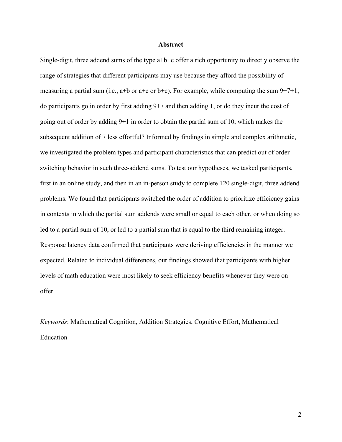### **Abstract**

Single-digit, three addend sums of the type a+b+c offer a rich opportunity to directly observe the range of strategies that different participants may use because they afford the possibility of measuring a partial sum (i.e.,  $a+b$  or  $a+c$  or  $b+c$ ). For example, while computing the sum  $9+7+1$ , do participants go in order by first adding 9+7 and then adding 1, or do they incur the cost of going out of order by adding 9+1 in order to obtain the partial sum of 10, which makes the subsequent addition of 7 less effortful? Informed by findings in simple and complex arithmetic, we investigated the problem types and participant characteristics that can predict out of order switching behavior in such three-addend sums. To test our hypotheses, we tasked participants, first in an online study, and then in an in-person study to complete 120 single-digit, three addend problems. We found that participants switched the order of addition to prioritize efficiency gains in contexts in which the partial sum addends were small or equal to each other, or when doing so led to a partial sum of 10, or led to a partial sum that is equal to the third remaining integer. Response latency data confirmed that participants were deriving efficiencies in the manner we expected. Related to individual differences, our findings showed that participants with higher levels of math education were most likely to seek efficiency benefits whenever they were on offer.

*Keywords*: Mathematical Cognition, Addition Strategies, Cognitive Effort, Mathematical Education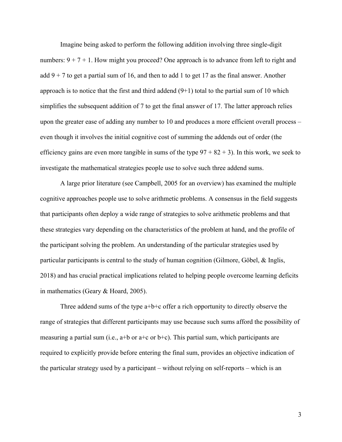Imagine being asked to perform the following addition involving three single-digit numbers:  $9 + 7 + 1$ . How might you proceed? One approach is to advance from left to right and add  $9 + 7$  to get a partial sum of 16, and then to add 1 to get 17 as the final answer. Another approach is to notice that the first and third addend  $(9+1)$  total to the partial sum of 10 which simplifies the subsequent addition of 7 to get the final answer of 17. The latter approach relies upon the greater ease of adding any number to 10 and produces a more efficient overall process – even though it involves the initial cognitive cost of summing the addends out of order (the efficiency gains are even more tangible in sums of the type  $97 + 82 + 3$ ). In this work, we seek to investigate the mathematical strategies people use to solve such three addend sums.

A large prior literature (see Campbell, 2005 for an overview) has examined the multiple cognitive approaches people use to solve arithmetic problems. A consensus in the field suggests that participants often deploy a wide range of strategies to solve arithmetic problems and that these strategies vary depending on the characteristics of the problem at hand, and the profile of the participant solving the problem. An understanding of the particular strategies used by particular participants is central to the study of human cognition (Gilmore, Göbel, & Inglis, 2018) and has crucial practical implications related to helping people overcome learning deficits in mathematics (Geary & Hoard, 2005).

Three addend sums of the type  $a+b+c$  offer a rich opportunity to directly observe the range of strategies that different participants may use because such sums afford the possibility of measuring a partial sum (i.e.,  $a+b$  or  $a+c$  or  $b+c$ ). This partial sum, which participants are required to explicitly provide before entering the final sum, provides an objective indication of the particular strategy used by a participant – without relying on self-reports – which is an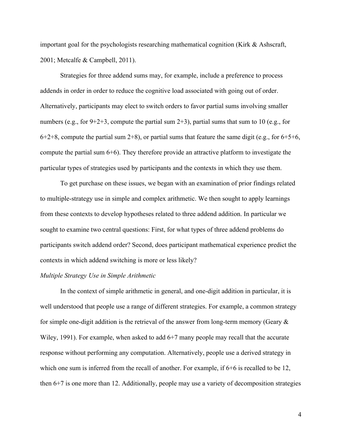important goal for the psychologists researching mathematical cognition (Kirk & Ashscraft, 2001; Metcalfe & Campbell, 2011).

Strategies for three addend sums may, for example, include a preference to process addends in order in order to reduce the cognitive load associated with going out of order. Alternatively, participants may elect to switch orders to favor partial sums involving smaller numbers (e.g., for  $9+2+3$ , compute the partial sum  $2+3$ ), partial sums that sum to 10 (e.g., for  $6+2+8$ , compute the partial sum  $2+8$ ), or partial sums that feature the same digit (e.g., for  $6+5+6$ , compute the partial sum 6+6). They therefore provide an attractive platform to investigate the particular types of strategies used by participants and the contexts in which they use them.

To get purchase on these issues, we began with an examination of prior findings related to multiple-strategy use in simple and complex arithmetic. We then sought to apply learnings from these contexts to develop hypotheses related to three addend addition. In particular we sought to examine two central questions: First, for what types of three addend problems do participants switch addend order? Second, does participant mathematical experience predict the contexts in which addend switching is more or less likely?

# *Multiple Strategy Use in Simple Arithmetic*

In the context of simple arithmetic in general, and one-digit addition in particular, it is well understood that people use a range of different strategies. For example, a common strategy for simple one-digit addition is the retrieval of the answer from long-term memory (Geary & Wiley, 1991). For example, when asked to add 6+7 many people may recall that the accurate response without performing any computation. Alternatively, people use a derived strategy in which one sum is inferred from the recall of another. For example, if  $6+6$  is recalled to be 12, then 6+7 is one more than 12. Additionally, people may use a variety of decomposition strategies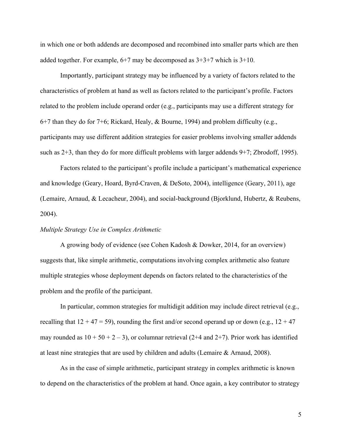in which one or both addends are decomposed and recombined into smaller parts which are then added together. For example,  $6+7$  may be decomposed as  $3+3+7$  which is  $3+10$ .

Importantly, participant strategy may be influenced by a variety of factors related to the characteristics of problem at hand as well as factors related to the participant's profile. Factors related to the problem include operand order (e.g., participants may use a different strategy for 6+7 than they do for 7+6; Rickard, Healy, & Bourne, 1994) and problem difficulty (e.g., participants may use different addition strategies for easier problems involving smaller addends such as 2+3, than they do for more difficult problems with larger addends 9+7; Zbrodoff, 1995).

Factors related to the participant's profile include a participant's mathematical experience and knowledge (Geary, Hoard, Byrd-Craven, & DeSoto, 2004), intelligence (Geary, 2011), age (Lemaire, Arnaud, & Lecacheur, 2004), and social-background (Bjorklund, Hubertz, & Reubens, 2004).

## *Multiple Strategy Use in Complex Arithmetic*

A growing body of evidence (see Cohen Kadosh & Dowker, 2014, for an overview) suggests that, like simple arithmetic, computations involving complex arithmetic also feature multiple strategies whose deployment depends on factors related to the characteristics of the problem and the profile of the participant.

In particular, common strategies for multidigit addition may include direct retrieval (e.g., recalling that  $12 + 47 = 59$ ), rounding the first and/or second operand up or down (e.g.,  $12 + 47$ ) may rounded as  $10 + 50 + 2 - 3$ , or columnar retrieval (2+4 and 2+7). Prior work has identified at least nine strategies that are used by children and adults (Lemaire & Arnaud, 2008).

As in the case of simple arithmetic, participant strategy in complex arithmetic is known to depend on the characteristics of the problem at hand. Once again, a key contributor to strategy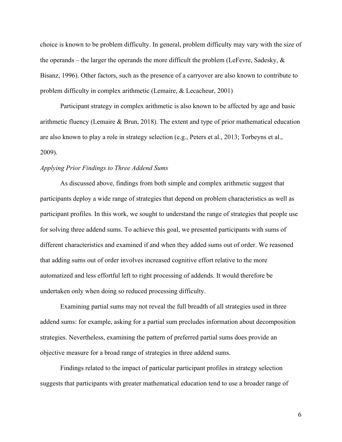choice is known to be problem difficulty. In general, problem difficulty may vary with the size of the operands – the larger the operands the more difficult the problem (LeFevre, Sadesky,  $\&$ Bisanz, 1996). Other factors, such as the presence of a carryover are also known to contribute to problem difficulty in complex arithmetic (Lemaire, & Lecacheur, 2001)

Participant strategy in complex arithmetic is also known to be affected by age and basic arithmetic fluency (Lemaire & Brun, 2018). The extent and type of prior mathematical education are also known to play a role in strategy selection (e.g., Peters et al., 2013; Torbeyns et al., 2009).

#### *Applying Prior Findings to Three Addend Sums*

As discussed above, findings from both simple and complex arithmetic suggest that participants deploy a wide range of strategies that depend on problem characteristics as well as participant profiles. In this work, we sought to understand the range of strategies that people use for solving three addend sums. To achieve this goal, we presented participants with sums of different characteristics and examined if and when they added sums out of order. We reasoned that adding sums out of order involves increased cognitive effort relative to the more automatized and less effortful left to right processing of addends. It would therefore be undertaken only when doing so reduced processing difficulty.

Examining partial sums may not reveal the full breadth of all strategies used in three addend sums: for example, asking for a partial sum precludes information about decomposition strategies. Nevertheless, examining the pattern of preferred partial sums does provide an objective measure for a broad range of strategies in three addend sums.

Findings related to the impact of particular participant profiles in strategy selection suggests that participants with greater mathematical education tend to use a broader range of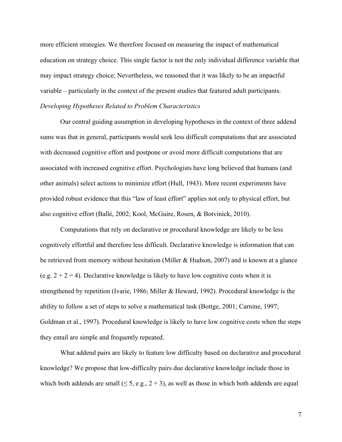more efficient strategies. We therefore focused on measuring the impact of mathematical education on strategy choice. This single factor is not the only individual difference variable that may impact strategy choice; Nevertheless, we reasoned that it was likely to be an impactful variable – particularly in the context of the present studies that featured adult participants. *Developing Hypotheses Related to Problem Characteristics*

Our central guiding assumption in developing hypotheses in the context of three addend sums was that in general, participants would seek less difficult computations that are associated with decreased cognitive effort and postpone or avoid more difficult computations that are associated with increased cognitive effort. Psychologists have long believed that humans (and other animals) select actions to minimize effort (Hull, 1943). More recent experiments have provided robust evidence that this "law of least effort" applies not only to physical effort, but also cognitive effort (Ballé, 2002; Kool, McGuire, Rosen, & Botvinick, 2010).

Computations that rely on declarative or procedural knowledge are likely to be less cognitively effortful and therefore less difficult. Declarative knowledge is information that can be retrieved from memory without hesitation (Miller & Hudson, 2007) and is known at a glance (e.g.  $2 + 2 = 4$ ). Declarative knowledge is likely to have low cognitive costs when it is strengthened by repetition (Ivarie, 1986; Miller & Heward, 1992). Procedural knowledge is the ability to follow a set of steps to solve a mathematical task (Bottge, 2001; Carnine, 1997; Goldman et al., 1997). Procedural knowledge is likely to have low cognitive costs when the steps they entail are simple and frequently repeated.

What addend pairs are likely to feature low difficulty based on declarative and procedural knowledge? We propose that low-difficulty pairs due declarative knowledge include those in which both addends are small  $( \leq 5, e.g., 2 + 3)$ , as well as those in which both addends are equal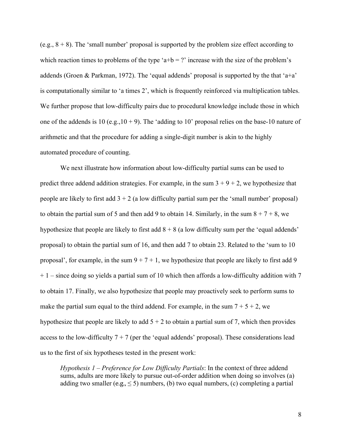(e.g.,  $8 + 8$ ). The 'small number' proposal is supported by the problem size effect according to which reaction times to problems of the type 'a+b = ?' increase with the size of the problem's addends (Groen & Parkman, 1972). The 'equal addends' proposal is supported by the that 'a+a' is computationally similar to 'a times 2', which is frequently reinforced via multiplication tables. We further propose that low-difficulty pairs due to procedural knowledge include those in which one of the addends is 10 (e.g.,  $10 + 9$ ). The 'adding to 10' proposal relies on the base-10 nature of arithmetic and that the procedure for adding a single-digit number is akin to the highly automated procedure of counting.

We next illustrate how information about low-difficulty partial sums can be used to predict three addend addition strategies. For example, in the sum  $3 + 9 + 2$ , we hypothesize that people are likely to first add  $3 + 2$  (a low difficulty partial sum per the 'small number' proposal) to obtain the partial sum of 5 and then add 9 to obtain 14. Similarly, in the sum  $8 + 7 + 8$ , we hypothesize that people are likely to first add  $8 + 8$  (a low difficulty sum per the 'equal addends' proposal) to obtain the partial sum of 16, and then add 7 to obtain 23. Related to the 'sum to 10 proposal', for example, in the sum  $9 + 7 + 1$ , we hypothesize that people are likely to first add 9  $+ 1$  – since doing so yields a partial sum of 10 which then affords a low-difficulty addition with 7 to obtain 17. Finally, we also hypothesize that people may proactively seek to perform sums to make the partial sum equal to the third addend. For example, in the sum  $7 + 5 + 2$ , we hypothesize that people are likely to add  $5 + 2$  to obtain a partial sum of 7, which then provides access to the low-difficulty  $7 + 7$  (per the 'equal addends' proposal). These considerations lead us to the first of six hypotheses tested in the present work:

*Hypothesis 1 – Preference for Low Difficulty Partials*: In the context of three addend sums, adults are more likely to pursue out-of-order addition when doing so involves (a) adding two smaller (e.g.,  $\leq 5$ ) numbers, (b) two equal numbers, (c) completing a partial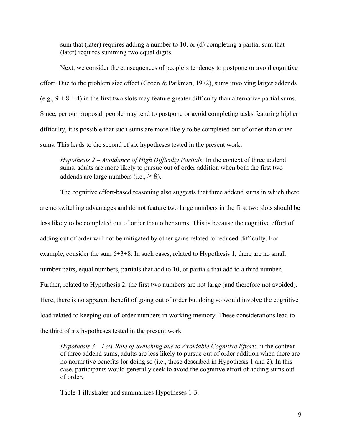sum that (later) requires adding a number to 10, or (d) completing a partial sum that (later) requires summing two equal digits.

Next, we consider the consequences of people's tendency to postpone or avoid cognitive effort. Due to the problem size effect (Groen & Parkman, 1972), sums involving larger addends (e.g.,  $9 + 8 + 4$ ) in the first two slots may feature greater difficulty than alternative partial sums. Since, per our proposal, people may tend to postpone or avoid completing tasks featuring higher difficulty, it is possible that such sums are more likely to be completed out of order than other sums. This leads to the second of six hypotheses tested in the present work:

*Hypothesis 2 – Avoidance of High Difficulty Partials*: In the context of three addend sums, adults are more likely to pursue out of order addition when both the first two addends are large numbers (i.e.,  $\geq 8$ ).

The cognitive effort-based reasoning also suggests that three addend sums in which there are no switching advantages and do not feature two large numbers in the first two slots should be less likely to be completed out of order than other sums. This is because the cognitive effort of adding out of order will not be mitigated by other gains related to reduced-difficulty. For example, consider the sum 6+3+8. In such cases, related to Hypothesis 1, there are no small number pairs, equal numbers, partials that add to 10, or partials that add to a third number. Further, related to Hypothesis 2, the first two numbers are not large (and therefore not avoided). Here, there is no apparent benefit of going out of order but doing so would involve the cognitive load related to keeping out-of-order numbers in working memory. These considerations lead to the third of six hypotheses tested in the present work.

*Hypothesis 3 – Low Rate of Switching due to Avoidable Cognitive Effort*: In the context of three addend sums, adults are less likely to pursue out of order addition when there are no normative benefits for doing so (i.e., those described in Hypothesis 1 and 2). In this case, participants would generally seek to avoid the cognitive effort of adding sums out of order.

Table-1 illustrates and summarizes Hypotheses 1-3.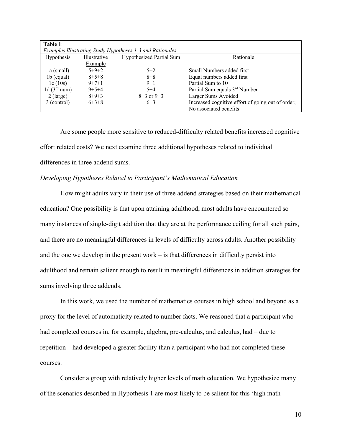| Table 1:          |              |                                                           |                                                   |
|-------------------|--------------|-----------------------------------------------------------|---------------------------------------------------|
|                   |              | Examples Illustrating Study Hypotheses 1-3 and Rationales |                                                   |
| <b>Hypothesis</b> | Illustrative | <b>Hypothesized Partial Sum</b>                           | Rationale                                         |
|                   | Example      |                                                           |                                                   |
| la (small)        | $5+9+2$      | $5 + 2$                                                   | Small Numbers added first                         |
| $1b$ (equal)      | $8 + 5 + 8$  | $8 + 8$                                                   | Equal numbers added first                         |
| 1c(10s)           | $9 + 7 + 1$  | $9 + 1$                                                   | Partial Sum to 10                                 |
| 1d $(3rd num)$    | $9+5+4$      | $5 + 4$                                                   | Partial Sum equals 3rd Number                     |
| $2$ (large)       | $8+9+3$      | $8+3$ or $9+3$                                            | Larger Sums Avoided                               |
| 3 (control)       | $6+3+8$      | $6+3$                                                     | Increased cognitive effort of going out of order; |
|                   |              |                                                           | No associated benefits                            |

Are some people more sensitive to reduced-difficulty related benefits increased cognitive effort related costs? We next examine three additional hypotheses related to individual differences in three addend sums.

## *Developing Hypotheses Related to Participant's Mathematical Education*

How might adults vary in their use of three addend strategies based on their mathematical education? One possibility is that upon attaining adulthood, most adults have encountered so many instances of single-digit addition that they are at the performance ceiling for all such pairs, and there are no meaningful differences in levels of difficulty across adults. Another possibility – and the one we develop in the present work – is that differences in difficulty persist into adulthood and remain salient enough to result in meaningful differences in addition strategies for sums involving three addends.

In this work, we used the number of mathematics courses in high school and beyond as a proxy for the level of automaticity related to number facts. We reasoned that a participant who had completed courses in, for example, algebra, pre-calculus, and calculus, had – due to repetition – had developed a greater facility than a participant who had not completed these courses.

Consider a group with relatively higher levels of math education. We hypothesize many of the scenarios described in Hypothesis 1 are most likely to be salient for this 'high math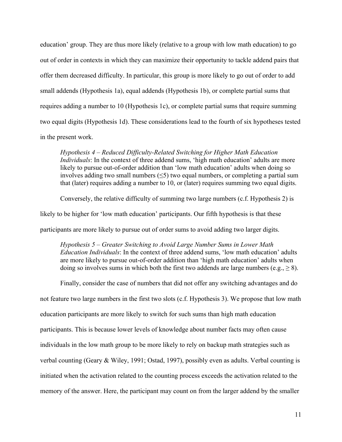education' group. They are thus more likely (relative to a group with low math education) to go out of order in contexts in which they can maximize their opportunity to tackle addend pairs that offer them decreased difficulty. In particular, this group is more likely to go out of order to add small addends (Hypothesis 1a), equal addends (Hypothesis 1b), or complete partial sums that requires adding a number to 10 (Hypothesis 1c), or complete partial sums that require summing two equal digits (Hypothesis 1d). These considerations lead to the fourth of six hypotheses tested in the present work.

*Hypothesis 4 – Reduced Difficulty-Related Switching for Higher Math Education Individuals*: In the context of three addend sums, 'high math education' adults are more likely to pursue out-of-order addition than 'low math education' adults when doing so involves adding two small numbers  $(\leq 5)$  two equal numbers, or completing a partial sum that (later) requires adding a number to 10, or (later) requires summing two equal digits.

Conversely, the relative difficulty of summing two large numbers (c.f. Hypothesis 2) is

likely to be higher for 'low math education' participants. Our fifth hypothesis is that these

participants are more likely to pursue out of order sums to avoid adding two larger digits.

*Hypothesis 5 – Greater Switching to Avoid Large Number Sums in Lower Math Education Individuals*: In the context of three addend sums, 'low math education' adults are more likely to pursue out-of-order addition than 'high math education' adults when doing so involves sums in which both the first two addends are large numbers (e.g.,  $\geq 8$ ).

Finally, consider the case of numbers that did not offer any switching advantages and do not feature two large numbers in the first two slots (c.f. Hypothesis 3). We propose that low math education participants are more likely to switch for such sums than high math education participants. This is because lower levels of knowledge about number facts may often cause individuals in the low math group to be more likely to rely on backup math strategies such as verbal counting (Geary & Wiley, 1991; Ostad, 1997), possibly even as adults. Verbal counting is initiated when the activation related to the counting process exceeds the activation related to the memory of the answer. Here, the participant may count on from the larger addend by the smaller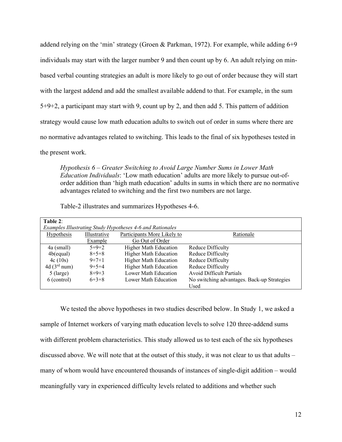addend relying on the 'min' strategy (Groen & Parkman, 1972). For example, while adding 6+9 individuals may start with the larger number 9 and then count up by 6. An adult relying on minbased verbal counting strategies an adult is more likely to go out of order because they will start with the largest addend and add the smallest available addend to that. For example, in the sum 5+9+2, a participant may start with 9, count up by 2, and then add 5. This pattern of addition strategy would cause low math education adults to switch out of order in sums where there are no normative advantages related to switching. This leads to the final of six hypotheses tested in the present work.

*Hypothesis 6 – Greater Switching to Avoid Large Number Sums in Lower Math Education Individuals*: 'Low math education' adults are more likely to pursue out-oforder addition than 'high math education' adults in sums in which there are no normative advantages related to switching and the first two numbers are not large.

| Table 2:                |              |                                                           |                                             |
|-------------------------|--------------|-----------------------------------------------------------|---------------------------------------------|
|                         |              | Examples Illustrating Study Hypotheses 4-6 and Rationales |                                             |
| Hypothesis              | Illustrative | Participants More Likely to                               | Rationale                                   |
|                         | Example      | Go Out of Order                                           |                                             |
| 4a (small)              | $5+9+2$      | <b>Higher Math Education</b>                              | Reduce Difficulty                           |
| $4b$ (equal)            | $8+5+8$      | <b>Higher Math Education</b>                              | Reduce Difficulty                           |
| 4c(10s)                 | $9+7+1$      | <b>Higher Math Education</b>                              | Reduce Difficulty                           |
| 4d(3 <sup>rd</sup> num) | $9 + 5 + 4$  | <b>Higher Math Education</b>                              | Reduce Difficulty                           |
| $5$ (large)             | $8+9+3$      | Lower Math Education                                      | <b>Avoid Difficult Partials</b>             |
| 6 (control)             | $6+3+8$      | Lower Math Education                                      | No switching advantages. Back-up Strategies |
|                         |              |                                                           | Used                                        |

Table-2 illustrates and summarizes Hypotheses 4-6.

We tested the above hypotheses in two studies described below. In Study 1, we asked a sample of Internet workers of varying math education levels to solve 120 three-addend sums with different problem characteristics. This study allowed us to test each of the six hypotheses discussed above. We will note that at the outset of this study, it was not clear to us that adults – many of whom would have encountered thousands of instances of single-digit addition – would meaningfully vary in experienced difficulty levels related to additions and whether such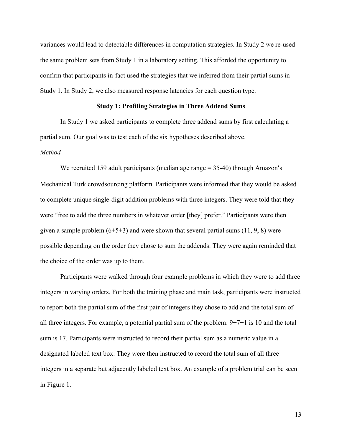variances would lead to detectable differences in computation strategies. In Study 2 we re-used the same problem sets from Study 1 in a laboratory setting. This afforded the opportunity to confirm that participants in-fact used the strategies that we inferred from their partial sums in Study 1. In Study 2, we also measured response latencies for each question type.

#### **Study 1: Profiling Strategies in Three Addend Sums**

In Study 1 we asked participants to complete three addend sums by first calculating a partial sum. Our goal was to test each of the six hypotheses described above. *Method*

We recruited 159 adult participants (median age range = 35-40) through Amazon**'**s Mechanical Turk crowdsourcing platform. Participants were informed that they would be asked to complete unique single-digit addition problems with three integers. They were told that they were "free to add the three numbers in whatever order [they] prefer." Participants were then given a sample problem  $(6+5+3)$  and were shown that several partial sums  $(11, 9, 8)$  were possible depending on the order they chose to sum the addends. They were again reminded that the choice of the order was up to them.

Participants were walked through four example problems in which they were to add three integers in varying orders. For both the training phase and main task, participants were instructed to report both the partial sum of the first pair of integers they chose to add and the total sum of all three integers. For example, a potential partial sum of the problem: 9+7+1 is 10 and the total sum is 17. Participants were instructed to record their partial sum as a numeric value in a designated labeled text box. They were then instructed to record the total sum of all three integers in a separate but adjacently labeled text box. An example of a problem trial can be seen in Figure 1.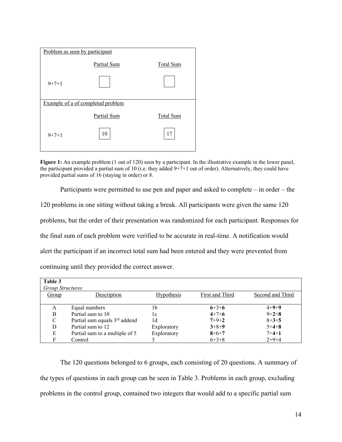

**Figure 1:** An example problem (1 out of 120) seen by a participant. In the illustrative example in the lower panel, the participant provided a partial sum of 10 (i.e. they added 9+7+1 out of order). Alternatively, they could have provided partial sums of 16 (staying in order) or 8.

Participants were permitted to use pen and paper and asked to complete – in order – the 120 problems in one sitting without taking a break. All participants were given the same 120 problems, but the order of their presentation was randomized for each participant. Responses for the final sum of each problem were verified to be accurate in real-time. A notification would alert the participant if an incorrect total sum had been entered and they were prevented from continuing until they provided the correct answer.

| Table 3<br><b>Group Structures</b> |                                |                   |                 |                  |
|------------------------------------|--------------------------------|-------------------|-----------------|------------------|
| Group                              | Description                    | <b>Hypothesis</b> | First and Third | Second and Third |
| A                                  | Equal numbers                  | 1b                | $6+3+6$         | $4 + 9 + 9$      |
| B                                  | Partial sum to 10              | 1c                | $4+7+6$         | $9 + 2 + 8$      |
| C                                  | Partial sum equals 3rd addend  | 1d                | $7 + 9 + 2$     | $8 + 3 + 5$      |
| D                                  | Partial sum to 12              | Exploratory       | $3 + 8 + 9$     | $5+4+8$          |
| E                                  | Partial sum to a multiple of 5 | Exploratory       | $8 + 6 + 7$     | $7 + 4 + 1$      |
| F                                  | Control                        |                   | $6+3+8$         | $2+9+4$          |

The 120 questions belonged to 6 groups, each consisting of 20 questions. A summary of the types of questions in each group can be seen in Table 3. Problems in each group, excluding problems in the control group, contained two integers that would add to a specific partial sum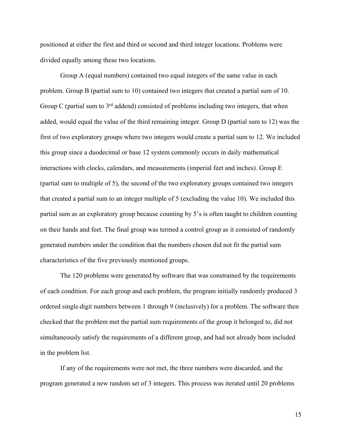positioned at either the first and third or second and third integer locations. Problems were divided equally among these two locations.

Group A (equal numbers) contained two equal integers of the same value in each problem. Group B (partial sum to 10) contained two integers that created a partial sum of 10. Group C (partial sum to 3<sup>rd</sup> addend) consisted of problems including two integers, that when added, would equal the value of the third remaining integer. Group D (partial sum to 12) was the first of two exploratory groups where two integers would create a partial sum to 12. We included this group since a duodecimal or base 12 system commonly occurs in daily mathematical interactions with clocks, calendars, and measurements (imperial feet and inches). Group E (partial sum to multiple of 5), the second of the two exploratory groups contained two integers that created a partial sum to an integer multiple of 5 (excluding the value 10). We included this partial sum as an exploratory group because counting by 5's is often taught to children counting on their hands and feet. The final group was termed a control group as it consisted of randomly generated numbers under the condition that the numbers chosen did not fit the partial sum characteristics of the five previously mentioned groups.

The 120 problems were generated by software that was constrained by the requirements of each condition. For each group and each problem, the program initially randomly produced 3 ordered single-digit numbers between 1 through 9 (inclusively) for a problem. The software then checked that the problem met the partial sum requirements of the group it belonged to, did not simultaneously satisfy the requirements of a different group, and had not already been included in the problem list.

If any of the requirements were not met, the three numbers were discarded, and the program generated a new random set of 3 integers. This process was iterated until 20 problems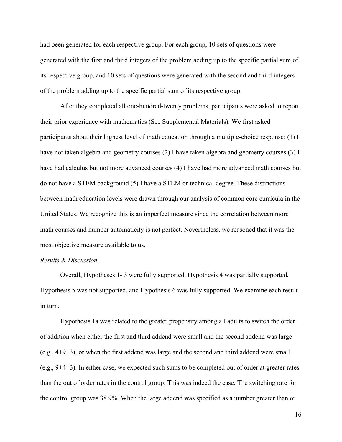had been generated for each respective group. For each group, 10 sets of questions were generated with the first and third integers of the problem adding up to the specific partial sum of its respective group, and 10 sets of questions were generated with the second and third integers of the problem adding up to the specific partial sum of its respective group.

After they completed all one-hundred-twenty problems, participants were asked to report their prior experience with mathematics (See Supplemental Materials). We first asked participants about their highest level of math education through a multiple-choice response: (1) I have not taken algebra and geometry courses (2) I have taken algebra and geometry courses (3) I have had calculus but not more advanced courses (4) I have had more advanced math courses but do not have a STEM background (5) I have a STEM or technical degree. These distinctions between math education levels were drawn through our analysis of common core curricula in the United States. We recognize this is an imperfect measure since the correlation between more math courses and number automaticity is not perfect. Nevertheless, we reasoned that it was the most objective measure available to us.

### *Results & Discussion*

Overall, Hypotheses 1- 3 were fully supported. Hypothesis 4 was partially supported, Hypothesis 5 was not supported, and Hypothesis 6 was fully supported. We examine each result in turn.

Hypothesis 1a was related to the greater propensity among all adults to switch the order of addition when either the first and third addend were small and the second addend was large (e.g., 4+9+3), or when the first addend was large and the second and third addend were small (e.g., 9+4+3). In either case, we expected such sums to be completed out of order at greater rates than the out of order rates in the control group. This was indeed the case. The switching rate for the control group was 38.9%. When the large addend was specified as a number greater than or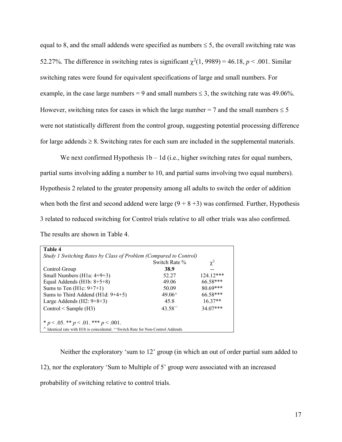equal to 8, and the small addends were specified as numbers  $\leq$  5, the overall switching rate was 52.27%. The difference in switching rates is significant  $\chi^2(1, 9989) = 46.18$ ,  $p < .001$ . Similar switching rates were found for equivalent specifications of large and small numbers. For example, in the case large numbers = 9 and small numbers  $\leq$  3, the switching rate was 49.06%. However, switching rates for cases in which the large number = 7 and the small numbers  $\leq 5$ were not statistically different from the control group, suggesting potential processing difference for large addends  $\geq 8$ . Switching rates for each sum are included in the supplemental materials.

We next confirmed Hypothesis  $1b - 1d$  (i.e., higher switching rates for equal numbers, partial sums involving adding a number to 10, and partial sums involving two equal numbers). Hypothesis 2 related to the greater propensity among all adults to switch the order of addition when both the first and second addend were large  $(9 + 8 + 3)$  was confirmed. Further, Hypothesis 3 related to reduced switching for Control trials relative to all other trials was also confirmed. The results are shown in Table 4.

| Table 4                                                                                              |                      |             |  |
|------------------------------------------------------------------------------------------------------|----------------------|-------------|--|
| Study 1 Switching Rates by Class of Problem (Compared to Control)                                    |                      |             |  |
|                                                                                                      | Switch Rate %        | $\chi^2$    |  |
| Control Group                                                                                        | 38.9                 |             |  |
| Small Numbers ( $H1a: 4+9+3$ )                                                                       | 52.27                | $124.12***$ |  |
| Equal Addends (H1b: $8+5+8$ )                                                                        | 49.06                | 66.58***    |  |
| Sums to Ten $(H1c: 9+7+1)$                                                                           | 50.09                | $80.69***$  |  |
| Sums to Third Addend (H1d: $9+4+5$ )                                                                 | $49.06^{\circ}$      | 66.58***    |  |
| Large Addends $(H2: 9+8+3)$                                                                          | 45.8                 | $16.37**$   |  |
| Control $\leq$ Sample (H3)                                                                           | $43.58^{\circ\circ}$ | $34.07***$  |  |
| * $p < .05$ . ** $p < .01$ . *** $p < .001$ .                                                        |                      |             |  |
| $^{\wedge}$ Identical rate with H1b is coincidental. $^{\wedge}$ Switch Rate for Non-Control Addends |                      |             |  |

Neither the exploratory 'sum to 12' group (in which an out of order partial sum added to 12), nor the exploratory 'Sum to Multiple of 5' group were associated with an increased probability of switching relative to control trials.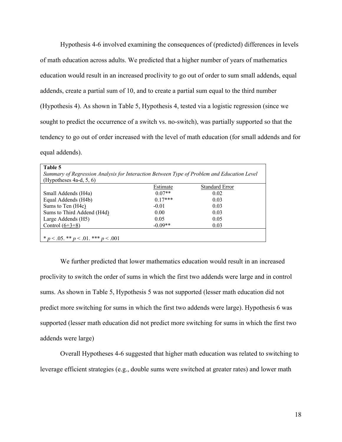Hypothesis 4-6 involved examining the consequences of (predicted) differences in levels of math education across adults. We predicted that a higher number of years of mathematics education would result in an increased proclivity to go out of order to sum small addends, equal addends, create a partial sum of 10, and to create a partial sum equal to the third number (Hypothesis 4). As shown in Table 5, Hypothesis 4, tested via a logistic regression (since we sought to predict the occurrence of a switch vs. no-switch), was partially supported so that the tendency to go out of order increased with the level of math education (for small addends and for equal addends).

| Table 5                                                                                    |           |                       |  |  |
|--------------------------------------------------------------------------------------------|-----------|-----------------------|--|--|
| Summary of Regression Analysis for Interaction Between Type of Problem and Education Level |           |                       |  |  |
| (Hypotheses $4a-d$ , 5, 6)                                                                 |           |                       |  |  |
|                                                                                            | Estimate  | <b>Standard Error</b> |  |  |
| Small Addends (H4a)                                                                        | $0.07**$  | 0.02                  |  |  |
| Equal Addends (H4b)                                                                        | $0.17***$ | 0.03                  |  |  |
| Sums to Ten (H4c)                                                                          | $-0.01$   | 0.03                  |  |  |
| Sums to Third Addend (H4d)                                                                 | 0.00      | 0.03                  |  |  |
| Large Addends (H5)                                                                         | 0.05      | 0.05                  |  |  |
| Control $(6+3+8)$                                                                          | $-0.09**$ | 0.03                  |  |  |
|                                                                                            |           |                       |  |  |
| * $p < .05$ . ** $p < .01$ . *** $p < .001$                                                |           |                       |  |  |

We further predicted that lower mathematics education would result in an increased proclivity to switch the order of sums in which the first two addends were large and in control sums. As shown in Table 5, Hypothesis 5 was not supported (lesser math education did not predict more switching for sums in which the first two addends were large). Hypothesis 6 was supported (lesser math education did not predict more switching for sums in which the first two addends were large)

Overall Hypotheses 4-6 suggested that higher math education was related to switching to leverage efficient strategies (e.g., double sums were switched at greater rates) and lower math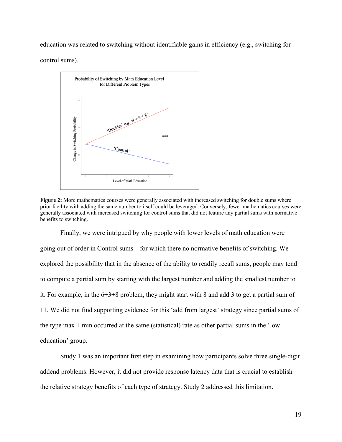education was related to switching without identifiable gains in efficiency (e.g., switching for control sums).



Figure 2: More mathematics courses were generally associated with increased switching for double sums where prior facility with adding the same number to itself could be leveraged. Conversely, fewer mathematics courses were generally associated with increased switching for control sums that did not feature any partial sums with normative benefits to switching.

Finally, we were intrigued by why people with lower levels of math education were going out of order in Control sums – for which there no normative benefits of switching. We explored the possibility that in the absence of the ability to readily recall sums, people may tend to compute a partial sum by starting with the largest number and adding the smallest number to it. For example, in the 6+3+8 problem, they might start with 8 and add 3 to get a partial sum of 11. We did not find supporting evidence for this 'add from largest' strategy since partial sums of the type max  $+$  min occurred at the same (statistical) rate as other partial sums in the 'low education' group.

Study 1 was an important first step in examining how participants solve three single-digit addend problems. However, it did not provide response latency data that is crucial to establish the relative strategy benefits of each type of strategy. Study 2 addressed this limitation.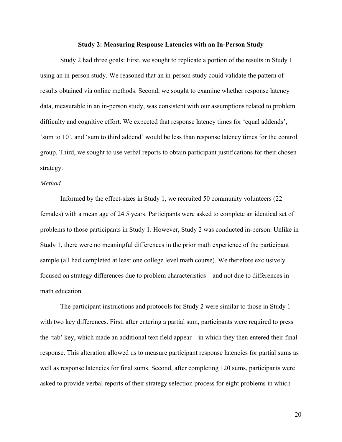#### **Study 2: Measuring Response Latencies with an In-Person Study**

Study 2 had three goals: First, we sought to replicate a portion of the results in Study 1 using an in-person study. We reasoned that an in-person study could validate the pattern of results obtained via online methods. Second, we sought to examine whether response latency data, measurable in an in-person study, was consistent with our assumptions related to problem difficulty and cognitive effort. We expected that response latency times for 'equal addends', 'sum to 10', and 'sum to third addend' would be less than response latency times for the control group. Third, we sought to use verbal reports to obtain participant justifications for their chosen strategy.

## *Method*

Informed by the effect-sizes in Study 1, we recruited 50 community volunteers (22 females) with a mean age of 24.5 years. Participants were asked to complete an identical set of problems to those participants in Study 1. However, Study 2 was conducted in-person. Unlike in Study 1, there were no meaningful differences in the prior math experience of the participant sample (all had completed at least one college level math course). We therefore exclusively focused on strategy differences due to problem characteristics – and not due to differences in math education.

The participant instructions and protocols for Study 2 were similar to those in Study 1 with two key differences. First, after entering a partial sum, participants were required to press the 'tab' key, which made an additional text field appear – in which they then entered their final response. This alteration allowed us to measure participant response latencies for partial sums as well as response latencies for final sums. Second, after completing 120 sums, participants were asked to provide verbal reports of their strategy selection process for eight problems in which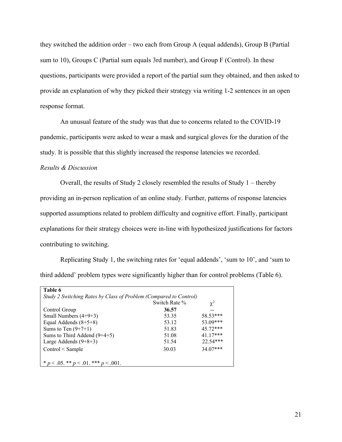they switched the addition order – two each from Group A (equal addends), Group B (Partial sum to 10), Groups C (Partial sum equals 3rd number), and Group F (Control). In these questions, participants were provided a report of the partial sum they obtained, and then asked to provide an explanation of why they picked their strategy via writing 1-2 sentences in an open response format.

An unusual feature of the study was that due to concerns related to the COVID-19 pandemic, participants were asked to wear a mask and surgical gloves for the duration of the study. It is possible that this slightly increased the response latencies we recorded.

## *Results & Discussion*

Overall, the results of Study 2 closely resembled the results of Study 1 – thereby providing an in-person replication of an online study. Further, patterns of response latencies supported assumptions related to problem difficulty and cognitive effort. Finally, participant explanations for their strategy choices were in-line with hypothesized justifications for factors contributing to switching.

Replicating Study 1, the switching rates for 'equal addends', 'sum to 10', and 'sum to third addend' problem types were significantly higher than for control problems (Table 6).

| Study 2 Switching Rates by Class of Problem (Compared to Control) | Switch Rate % | $\chi^2$   |
|-------------------------------------------------------------------|---------------|------------|
| Control Group                                                     | 36.57         |            |
| Small Numbers $(4+9+3)$                                           | 53.35         | 58.53***   |
| Equal Addends $(8+5+8)$                                           | 53.12         | 53.09***   |
| Sums to Ten $(9+7+1)$                                             | 51.83         | $45.72***$ |
| Sums to Third Addend $(9+4+5)$                                    | 51.08         | $41.17***$ |
| Large Addends $(9+8+3)$                                           | 51.54         | $22.54***$ |
| $Control <$ Sample                                                | 30.03         | 34.07***   |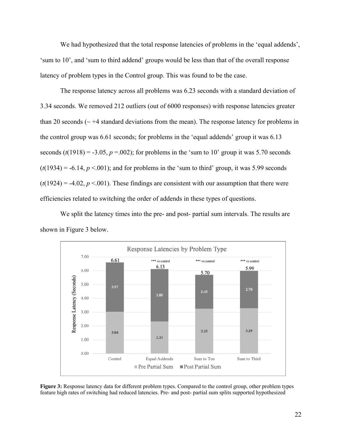We had hypothesized that the total response latencies of problems in the 'equal addends', 'sum to 10', and 'sum to third addend' groups would be less than that of the overall response latency of problem types in the Control group. This was found to be the case.

The response latency across all problems was 6.23 seconds with a standard deviation of 3.34 seconds. We removed 212 outliers (out of 6000 responses) with response latencies greater than 20 seconds ( $\sim$  +4 standard deviations from the mean). The response latency for problems in the control group was 6.61 seconds; for problems in the 'equal addends' group it was 6.13 seconds  $(t(1918) = -3.05, p = .002)$ ; for problems in the 'sum to 10' group it was 5.70 seconds  $(t(1934) = -6.14, p < 0.001)$ ; and for problems in the 'sum to third' group, it was 5.99 seconds  $(t(1924) = -4.02, p < 0.001)$ . These findings are consistent with our assumption that there were efficiencies related to switching the order of addends in these types of questions.

We split the latency times into the pre- and post- partial sum intervals. The results are shown in Figure 3 below.



**Figure 3:** Response latency data for different problem types. Compared to the control group, other problem types feature high rates of switching had reduced latencies. Pre- and post- partial sum splits supported hypothesized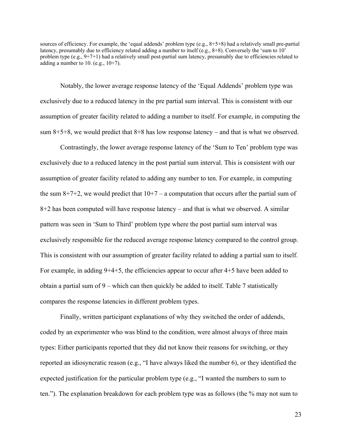sources of efficiency. For example, the 'equal addends' problem type (e.g., 8+5+8) had a relatively small pre-partial latency, presumably due to efficiency related adding a number to itself (e.g., 8+8). Conversely the 'sum to 10' problem type  $(e.g., 9+7+1)$  had a relatively small post-partial sum latency, presumably due to efficiencies related to adding a number to 10. (e.g.,  $10+7$ ).

Notably, the lower average response latency of the 'Equal Addends' problem type was exclusively due to a reduced latency in the pre partial sum interval. This is consistent with our assumption of greater facility related to adding a number to itself. For example, in computing the sum  $8+5+8$ , we would predict that  $8+8$  has low response latency – and that is what we observed.

Contrastingly, the lower average response latency of the 'Sum to Ten' problem type was exclusively due to a reduced latency in the post partial sum interval. This is consistent with our assumption of greater facility related to adding any number to ten. For example, in computing the sum  $8+7+2$ , we would predict that  $10+7$  – a computation that occurs after the partial sum of 8+2 has been computed will have response latency – and that is what we observed. A similar pattern was seen in 'Sum to Third' problem type where the post partial sum interval was exclusively responsible for the reduced average response latency compared to the control group. This is consistent with our assumption of greater facility related to adding a partial sum to itself. For example, in adding 9+4+5, the efficiencies appear to occur after 4+5 have been added to obtain a partial sum of 9 – which can then quickly be added to itself. Table 7 statistically compares the response latencies in different problem types.

Finally, written participant explanations of why they switched the order of addends, coded by an experimenter who was blind to the condition, were almost always of three main types: Either participants reported that they did not know their reasons for switching, or they reported an idiosyncratic reason (e.g., "I have always liked the number 6), or they identified the expected justification for the particular problem type (e.g., "I wanted the numbers to sum to ten."). The explanation breakdown for each problem type was as follows (the % may not sum to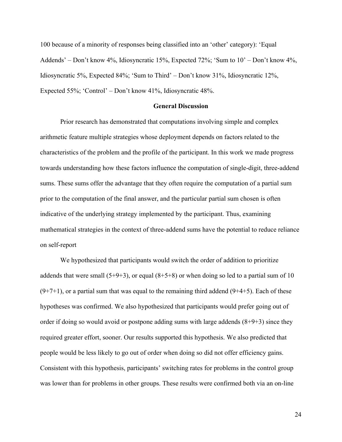100 because of a minority of responses being classified into an 'other' category): 'Equal Addends' – Don't know 4%, Idiosyncratic 15%, Expected 72%; 'Sum to 10' – Don't know 4%, Idiosyncratic 5%, Expected 84%; 'Sum to Third' – Don't know 31%, Idiosyncratic 12%, Expected 55%; 'Control' – Don't know 41%, Idiosyncratic 48%.

#### **General Discussion**

Prior research has demonstrated that computations involving simple and complex arithmetic feature multiple strategies whose deployment depends on factors related to the characteristics of the problem and the profile of the participant. In this work we made progress towards understanding how these factors influence the computation of single-digit, three-addend sums. These sums offer the advantage that they often require the computation of a partial sum prior to the computation of the final answer, and the particular partial sum chosen is often indicative of the underlying strategy implemented by the participant. Thus, examining mathematical strategies in the context of three-addend sums have the potential to reduce reliance on self-report

We hypothesized that participants would switch the order of addition to prioritize addends that were small  $(5+9+3)$ , or equal  $(8+5+8)$  or when doing so led to a partial sum of 10  $(9+7+1)$ , or a partial sum that was equal to the remaining third addend  $(9+4+5)$ . Each of these hypotheses was confirmed. We also hypothesized that participants would prefer going out of order if doing so would avoid or postpone adding sums with large addends  $(8+9+3)$  since they required greater effort, sooner. Our results supported this hypothesis. We also predicted that people would be less likely to go out of order when doing so did not offer efficiency gains. Consistent with this hypothesis, participants' switching rates for problems in the control group was lower than for problems in other groups. These results were confirmed both via an on-line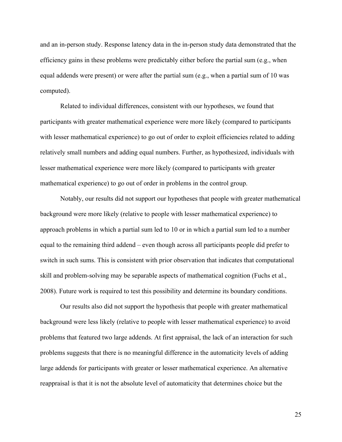and an in-person study. Response latency data in the in-person study data demonstrated that the efficiency gains in these problems were predictably either before the partial sum (e.g., when equal addends were present) or were after the partial sum (e.g., when a partial sum of 10 was computed).

Related to individual differences, consistent with our hypotheses, we found that participants with greater mathematical experience were more likely (compared to participants with lesser mathematical experience) to go out of order to exploit efficiencies related to adding relatively small numbers and adding equal numbers. Further, as hypothesized, individuals with lesser mathematical experience were more likely (compared to participants with greater mathematical experience) to go out of order in problems in the control group.

Notably, our results did not support our hypotheses that people with greater mathematical background were more likely (relative to people with lesser mathematical experience) to approach problems in which a partial sum led to 10 or in which a partial sum led to a number equal to the remaining third addend – even though across all participants people did prefer to switch in such sums. This is consistent with prior observation that indicates that computational skill and problem-solving may be separable aspects of mathematical cognition (Fuchs et al., 2008). Future work is required to test this possibility and determine its boundary conditions.

Our results also did not support the hypothesis that people with greater mathematical background were less likely (relative to people with lesser mathematical experience) to avoid problems that featured two large addends. At first appraisal, the lack of an interaction for such problems suggests that there is no meaningful difference in the automaticity levels of adding large addends for participants with greater or lesser mathematical experience. An alternative reappraisal is that it is not the absolute level of automaticity that determines choice but the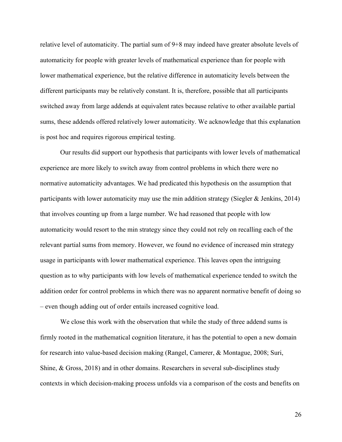relative level of automaticity. The partial sum of 9+8 may indeed have greater absolute levels of automaticity for people with greater levels of mathematical experience than for people with lower mathematical experience, but the relative difference in automaticity levels between the different participants may be relatively constant. It is, therefore, possible that all participants switched away from large addends at equivalent rates because relative to other available partial sums, these addends offered relatively lower automaticity. We acknowledge that this explanation is post hoc and requires rigorous empirical testing.

Our results did support our hypothesis that participants with lower levels of mathematical experience are more likely to switch away from control problems in which there were no normative automaticity advantages. We had predicated this hypothesis on the assumption that participants with lower automaticity may use the min addition strategy (Siegler & Jenkins, 2014) that involves counting up from a large number. We had reasoned that people with low automaticity would resort to the min strategy since they could not rely on recalling each of the relevant partial sums from memory. However, we found no evidence of increased min strategy usage in participants with lower mathematical experience. This leaves open the intriguing question as to why participants with low levels of mathematical experience tended to switch the addition order for control problems in which there was no apparent normative benefit of doing so – even though adding out of order entails increased cognitive load.

We close this work with the observation that while the study of three addend sums is firmly rooted in the mathematical cognition literature, it has the potential to open a new domain for research into value-based decision making (Rangel, Camerer, & Montague, 2008; Suri, Shine, & Gross, 2018) and in other domains. Researchers in several sub-disciplines study contexts in which decision-making process unfolds via a comparison of the costs and benefits on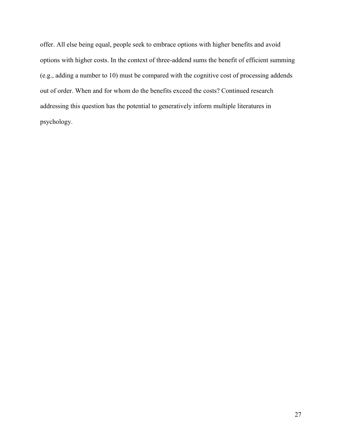offer. All else being equal, people seek to embrace options with higher benefits and avoid options with higher costs. In the context of three-addend sums the benefit of efficient summing (e.g., adding a number to 10) must be compared with the cognitive cost of processing addends out of order. When and for whom do the benefits exceed the costs? Continued research addressing this question has the potential to generatively inform multiple literatures in psychology.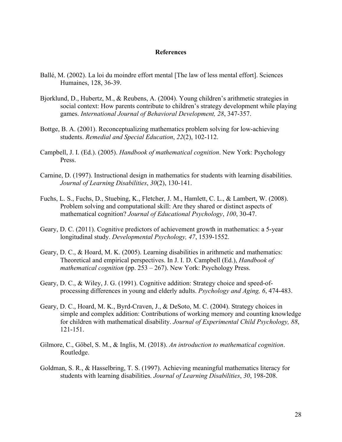## **References**

- Ballé, M. (2002). La loi du moindre effort mental [The law of less mental effort]. Sciences Humaines, 128, 36-39.
- Bjorklund, D., Hubertz, M., & Reubens, A. (2004). Young children's arithmetic strategies in social context: How parents contribute to children's strategy development while playing games. *International Journal of Behavioral Development, 28*, 347-357.
- Bottge, B. A. (2001). Reconceptualizing mathematics problem solving for low-achieving students. *Remedial and Special Education*, *22*(2), 102-112.
- Campbell, J. I. (Ed.). (2005). *Handbook of mathematical cognition*. New York: Psychology Press.
- Carnine, D. (1997). Instructional design in mathematics for students with learning disabilities. *Journal of Learning Disabilities*, *30*(2), 130-141.
- Fuchs, L. S., Fuchs, D., Stuebing, K., Fletcher, J. M., Hamlett, C. L., & Lambert, W. (2008). Problem solving and computational skill: Are they shared or distinct aspects of mathematical cognition? *Journal of Educational Psychology*, *100*, 30-47.
- Geary, D. C. (2011). Cognitive predictors of achievement growth in mathematics: a 5-year longitudinal study. *Developmental Psychology, 47*, 1539-1552.
- Geary, D. C., & Hoard, M. K. (2005). Learning disabilities in arithmetic and mathematics: Theoretical and empirical perspectives. In J. I. D. Campbell (Ed.), *Handbook of mathematical cognition* (pp. 253 – 267). New York: Psychology Press.
- Geary, D. C., & Wiley, J. G. (1991). Cognitive addition: Strategy choice and speed-ofprocessing differences in young and elderly adults. *Psychology and Aging, 6*, 474-483.
- Geary, D. C., Hoard, M. K., Byrd-Craven, J., & DeSoto, M. C. (2004). Strategy choices in simple and complex addition: Contributions of working memory and counting knowledge for children with mathematical disability. *Journal of Experimental Child Psychology, 88*, 121-151.
- Gilmore, C., Göbel, S. M., & Inglis, M. (2018). *An introduction to mathematical cognition*. Routledge.
- Goldman, S. R., & Hasselbring, T. S. (1997). Achieving meaningful mathematics literacy for students with learning disabilities. *Journal of Learning Disabilities*, *30*, 198-208.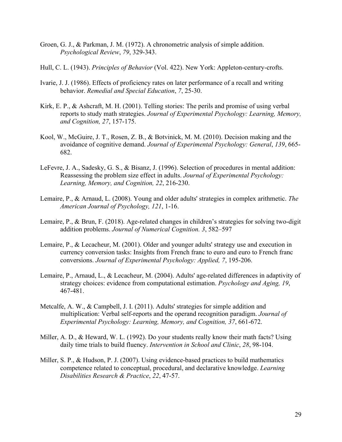- Groen, G. J., & Parkman, J. M. (1972). A chronometric analysis of simple addition. *Psychological Review*, *79*, 329-343.
- Hull, C. L. (1943). *Principles of Behavior* (Vol. 422). New York: Appleton-century-crofts.
- Ivarie, J. J. (1986). Effects of proficiency rates on later performance of a recall and writing behavior. *Remedial and Special Education*, *7*, 25-30.
- Kirk, E. P., & Ashcraft, M. H. (2001). Telling stories: The perils and promise of using verbal reports to study math strategies. *Journal of Experimental Psychology: Learning, Memory, and Cognition, 27*, 157-175.
- Kool, W., McGuire, J. T., Rosen, Z. B., & Botvinick, M. M. (2010). Decision making and the avoidance of cognitive demand. *Journal of Experimental Psychology: General*, *139*, 665- 682.
- LeFevre, J. A., Sadesky, G. S., & Bisanz, J. (1996). Selection of procedures in mental addition: Reassessing the problem size effect in adults. *Journal of Experimental Psychology: Learning, Memory, and Cognition, 22*, 216-230.
- Lemaire, P., & Arnaud, L. (2008). Young and older adults' strategies in complex arithmetic. *The American Journal of Psychology, 121*, 1-16.
- Lemaire, P., & Brun, F. (2018). Age-related changes in children's strategies for solving two-digit addition problems. *Journal of Numerical Cognition. 3*, 582–597
- Lemaire, P., & Lecacheur, M. (2001). Older and younger adults' strategy use and execution in currency conversion tasks: Insights from French franc to euro and euro to French franc conversions. *Journal of Experimental Psychology: Applied, 7*, 195-206.
- Lemaire, P., Arnaud, L., & Lecacheur, M. (2004). Adults' age-related differences in adaptivity of strategy choices: evidence from computational estimation. *Psychology and Aging, 19*, 467-481.
- Metcalfe, A. W., & Campbell, J. I. (2011). Adults' strategies for simple addition and multiplication: Verbal self-reports and the operand recognition paradigm. *Journal of Experimental Psychology: Learning, Memory, and Cognition, 37*, 661-672.
- Miller, A. D., & Heward, W. L. (1992). Do your students really know their math facts? Using daily time trials to build fluency. *Intervention in School and Clinic*, *28*, 98-104.
- Miller, S. P., & Hudson, P. J. (2007). Using evidence-based practices to build mathematics competence related to conceptual, procedural, and declarative knowledge. *Learning Disabilities Research & Practice*, *22*, 47-57.